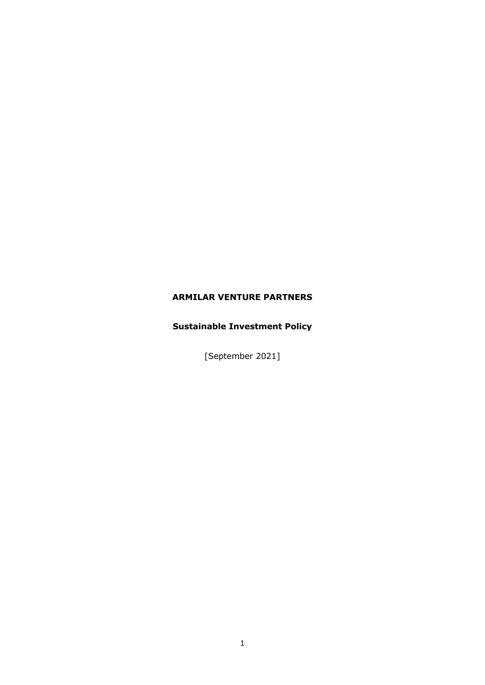## **ARMILAR VENTURE PARTNERS**

# **Sustainable Investment Policy**

[September 2021]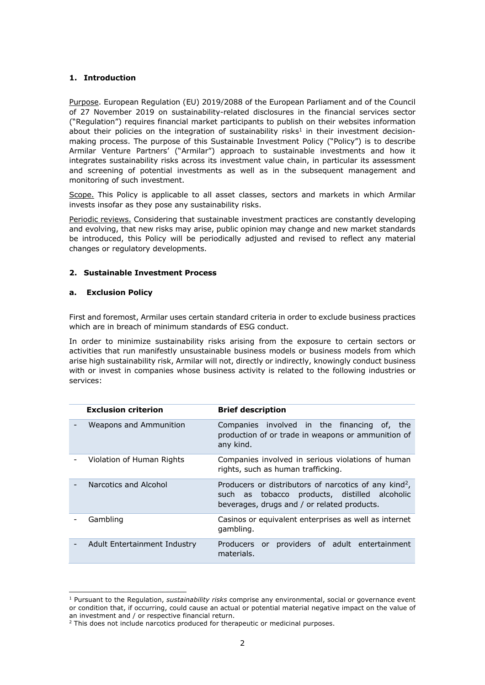#### **1. Introduction**

Purpose. European Regulation (EU) 2019/2088 of the European Parliament and of the Council of 27 November 2019 on sustainability-related disclosures in the financial services sector ("Regulation") requires financial market participants to publish on their websites information about their policies on the integration of sustainability risks<sup>1</sup> in their investment decisionmaking process. The purpose of this Sustainable Investment Policy ("Policy") is to describe Armilar Venture Partners' ("Armilar") approach to sustainable investments and how it integrates sustainability risks across its investment value chain, in particular its assessment and screening of potential investments as well as in the subsequent management and monitoring of such investment.

Scope. This Policy is applicable to all asset classes, sectors and markets in which Armilar invests insofar as they pose any sustainability risks.

Periodic reviews. Considering that sustainable investment practices are constantly developing and evolving, that new risks may arise, public opinion may change and new market standards be introduced, this Policy will be periodically adjusted and revised to reflect any material changes or regulatory developments.

#### **2. Sustainable Investment Process**

#### **a. Exclusion Policy**

First and foremost, Armilar uses certain standard criteria in order to exclude business practices which are in breach of minimum standards of ESG conduct.

In order to minimize sustainability risks arising from the exposure to certain sectors or activities that run manifestly unsustainable business models or business models from which arise high sustainability risk, Armilar will not, directly or indirectly, knowingly conduct business with or invest in companies whose business activity is related to the following industries or services:

| <b>Exclusion criterion</b>    | <b>Brief description</b>                                                                                                                                          |
|-------------------------------|-------------------------------------------------------------------------------------------------------------------------------------------------------------------|
| <b>Weapons and Ammunition</b> | Companies involved in the financing of, the<br>production of or trade in weapons or ammunition of<br>any kind.                                                    |
| Violation of Human Rights     | Companies involved in serious violations of human<br>rights, such as human trafficking.                                                                           |
| Narcotics and Alcohol         | Producers or distributors of narcotics of any kind <sup>2</sup> ,<br>such as tobacco products, distilled alcoholic<br>beverages, drugs and / or related products. |
| Gambling                      | Casinos or equivalent enterprises as well as internet<br>gambling.                                                                                                |
| Adult Entertainment Industry  | Producers or providers of adult entertainment<br>materials.                                                                                                       |

<sup>1</sup> Pursuant to the Regulation, *sustainability risks* comprise any environmental, social or governance event or condition that, if occurring, could cause an actual or potential material negative impact on the value of an investment and / or respective financial return.

 $2$  This does not include narcotics produced for therapeutic or medicinal purposes.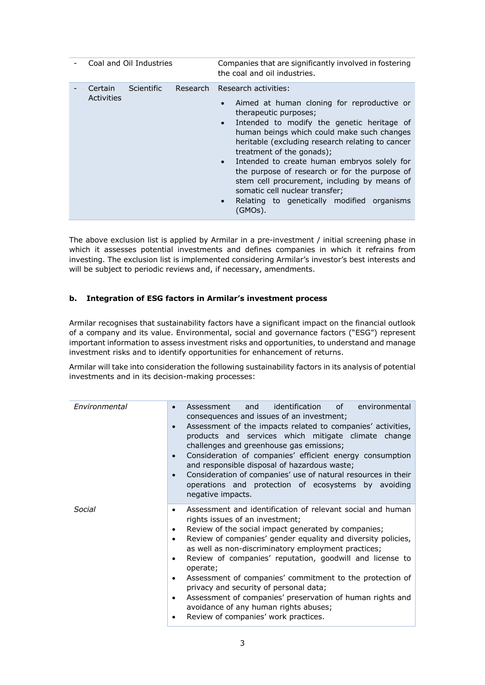| Coal and Oil Industries |            |  | Companies that are significantly involved in fostering<br>the coal and oil industries.                                                                                                                                                                                                                                                                                                                                                                                                                                                    |
|-------------------------|------------|--|-------------------------------------------------------------------------------------------------------------------------------------------------------------------------------------------------------------------------------------------------------------------------------------------------------------------------------------------------------------------------------------------------------------------------------------------------------------------------------------------------------------------------------------------|
| Certain<br>Activities   | Scientific |  | Research Research activities:<br>Aimed at human cloning for reproductive or<br>therapeutic purposes;<br>Intended to modify the genetic heritage of<br>$\bullet$<br>human beings which could make such changes<br>heritable (excluding research relating to cancer<br>treatment of the gonads);<br>Intended to create human embryos solely for<br>the purpose of research or for the purpose of<br>stem cell procurement, including by means of<br>somatic cell nuclear transfer;<br>Relating to genetically modified organisms<br>(GMOs). |

The above exclusion list is applied by Armilar in a pre-investment / initial screening phase in which it assesses potential investments and defines companies in which it refrains from investing. The exclusion list is implemented considering Armilar's investor's best interests and will be subject to periodic reviews and, if necessary, amendments.

### **b. Integration of ESG factors in Armilar's investment process**

Armilar recognises that sustainability factors have a significant impact on the financial outlook of a company and its value. Environmental, social and governance factors ("ESG") represent important information to assess investment risks and opportunities, to understand and manage investment risks and to identify opportunities for enhancement of returns.

Armilar will take into consideration the following sustainability factors in its analysis of potential investments and in its decision-making processes:

| Environmental | identification<br>of o<br>environmental<br>and<br>Assessment<br>consequences and issues of an investment;<br>Assessment of the impacts related to companies' activities,<br>$\bullet$<br>products and services which mitigate climate change<br>challenges and greenhouse gas emissions;<br>Consideration of companies' efficient energy consumption<br>and responsible disposal of hazardous waste;<br>Consideration of companies' use of natural resources in their<br>$\bullet$<br>operations and protection of ecosystems by avoiding<br>negative impacts.                                                                                             |
|---------------|------------------------------------------------------------------------------------------------------------------------------------------------------------------------------------------------------------------------------------------------------------------------------------------------------------------------------------------------------------------------------------------------------------------------------------------------------------------------------------------------------------------------------------------------------------------------------------------------------------------------------------------------------------|
| Social        | Assessment and identification of relevant social and human<br>٠<br>rights issues of an investment;<br>Review of the social impact generated by companies;<br>٠<br>Review of companies' gender equality and diversity policies,<br>$\bullet$<br>as well as non-discriminatory employment practices;<br>Review of companies' reputation, goodwill and license to<br>٠<br>operate;<br>Assessment of companies' commitment to the protection of<br>$\bullet$<br>privacy and security of personal data;<br>Assessment of companies' preservation of human rights and<br>٠<br>avoidance of any human rights abuses;<br>Review of companies' work practices.<br>٠ |